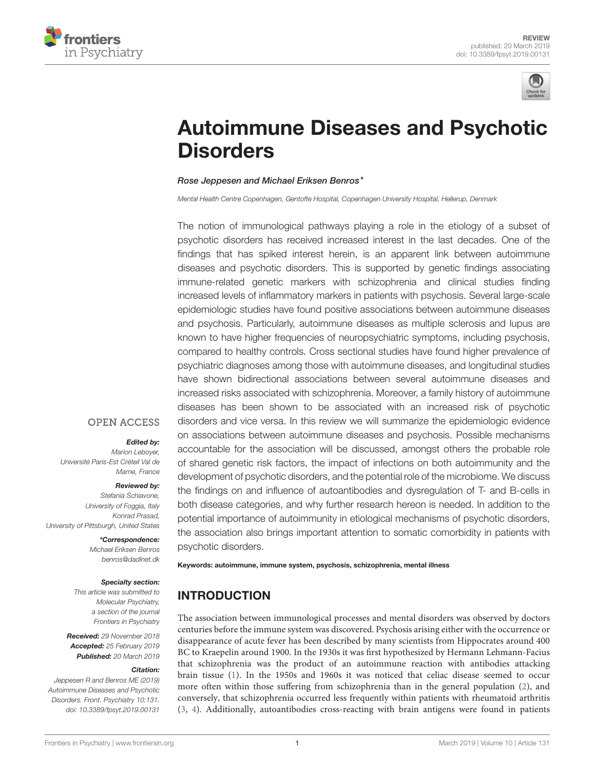



# [Autoimmune Diseases and Psychotic](https://www.frontiersin.org/articles/10.3389/fpsyt.2019.00131/full) **Disorders**

#### [Rose Jeppesen](http://loop.frontiersin.org/people/649448/overview) and [Michael Eriksen Benros\\*](http://loop.frontiersin.org/people/395652/overview)

Mental Health Centre Copenhagen, Gentofte Hospital, Copenhagen University Hospital, Hellerup, Denmark

The notion of immunological pathways playing a role in the etiology of a subset of psychotic disorders has received increased interest in the last decades. One of the findings that has spiked interest herein, is an apparent link between autoimmune diseases and psychotic disorders. This is supported by genetic findings associating immune-related genetic markers with schizophrenia and clinical studies finding increased levels of inflammatory markers in patients with psychosis. Several large-scale epidemiologic studies have found positive associations between autoimmune diseases and psychosis. Particularly, autoimmune diseases as multiple sclerosis and lupus are known to have higher frequencies of neuropsychiatric symptoms, including psychosis, compared to healthy controls. Cross sectional studies have found higher prevalence of psychiatric diagnoses among those with autoimmune diseases, and longitudinal studies have shown bidirectional associations between several autoimmune diseases and increased risks associated with schizophrenia. Moreover, a family history of autoimmune diseases has been shown to be associated with an increased risk of psychotic disorders and vice versa. In this review we will summarize the epidemiologic evidence on associations between autoimmune diseases and psychosis. Possible mechanisms accountable for the association will be discussed, amongst others the probable role of shared genetic risk factors, the impact of infections on both autoimmunity and the development of psychotic disorders, and the potential role of the microbiome. We discuss the findings on and influence of autoantibodies and dysregulation of T- and B-cells in both disease categories, and why further research hereon is needed. In addition to the potential importance of autoimmunity in etiological mechanisms of psychotic disorders, the association also brings important attention to somatic comorbidity in patients with psychotic disorders.

#### **OPEN ACCESS**

#### Edited by:

Marion Lebover Université Paris-Est Créteil Val de Marne, France

#### Reviewed by:

Stefania Schiavone, University of Foggia, Italy Konrad Prasad, University of Pittsburgh, United States

> \*Correspondence: Michael Eriksen Benros [benros@dadlnet.dk](mailto:benros@dadlnet.dk)

#### Specialty section:

This article was submitted to Molecular Psychiatry, a section of the journal Frontiers in Psychiatry

Received: 29 November 2018 Accepted: 25 February 2019 Published: 20 March 2019

#### Citation:

Jeppesen R and Benros ME (2019) Autoimmune Diseases and Psychotic Disorders. Front. Psychiatry 10:131. doi: [10.3389/fpsyt.2019.00131](https://doi.org/10.3389/fpsyt.2019.00131) Keywords: autoimmune, immune system, psychosis, schizophrenia, mental illness

# INTRODUCTION

The association between immunological processes and mental disorders was observed by doctors centuries before the immune system was discovered. Psychosis arising either with the occurrence or disappearance of acute fever has been described by many scientists from Hippocrates around 400 BC to Kraepelin around 1900. In the 1930s it was first hypothesized by Hermann Lehmann-Facius that schizophrenia was the product of an autoimmune reaction with antibodies attacking brain tissue [\(1\)](#page-7-0). In the 1950s and 1960s it was noticed that celiac disease seemed to occur more often within those suffering from schizophrenia than in the general population [\(2\)](#page-7-1), and conversely, that schizophrenia occurred less frequently within patients with rheumatoid arthritis [\(3,](#page-7-2) [4\)](#page-7-3). Additionally, autoantibodies cross-reacting with brain antigens were found in patients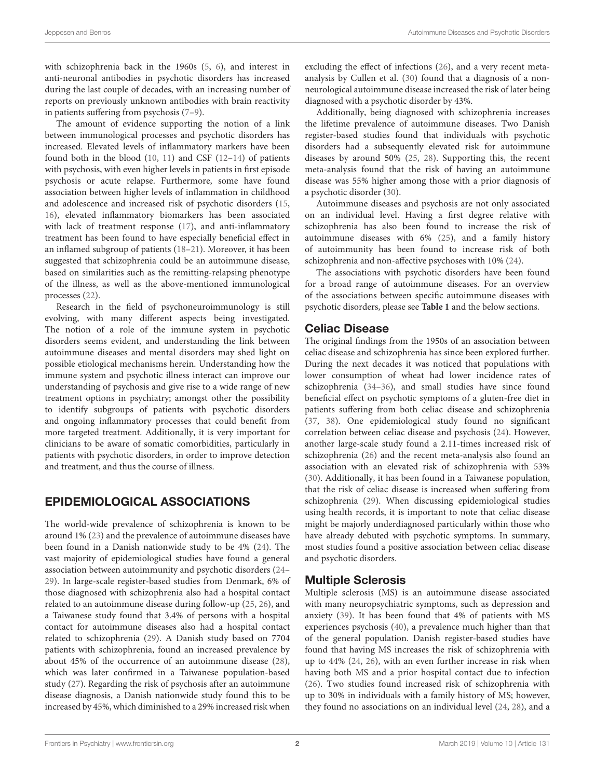with schizophrenia back in the 1960s [\(5,](#page-7-4) [6\)](#page-7-5), and interest in anti-neuronal antibodies in psychotic disorders has increased during the last couple of decades, with an increasing number of reports on previously unknown antibodies with brain reactivity in patients suffering from psychosis [\(7–](#page-7-6)[9\)](#page-7-7).

The amount of evidence supporting the notion of a link between immunological processes and psychotic disorders has increased. Elevated levels of inflammatory markers have been found both in the blood  $(10, 11)$  $(10, 11)$  and CSF  $(12-14)$  of patients with psychosis, with even higher levels in patients in first episode psychosis or acute relapse. Furthermore, some have found association between higher levels of inflammation in childhood and adolescence and increased risk of psychotic disorders [\(15,](#page-7-12) [16\)](#page-7-13), elevated inflammatory biomarkers has been associated with lack of treatment response [\(17\)](#page-7-14), and anti-inflammatory treatment has been found to have especially beneficial effect in an inflamed subgroup of patients [\(18–](#page-7-15)[21\)](#page-7-16). Moreover, it has been suggested that schizophrenia could be an autoimmune disease, based on similarities such as the remitting-relapsing phenotype of the illness, as well as the above-mentioned immunological processes [\(22\)](#page-7-17).

Research in the field of psychoneuroimmunology is still evolving, with many different aspects being investigated. The notion of a role of the immune system in psychotic disorders seems evident, and understanding the link between autoimmune diseases and mental disorders may shed light on possible etiological mechanisms herein. Understanding how the immune system and psychotic illness interact can improve our understanding of psychosis and give rise to a wide range of new treatment options in psychiatry; amongst other the possibility to identify subgroups of patients with psychotic disorders and ongoing inflammatory processes that could benefit from more targeted treatment. Additionally, it is very important for clinicians to be aware of somatic comorbidities, particularly in patients with psychotic disorders, in order to improve detection and treatment, and thus the course of illness.

# EPIDEMIOLOGICAL ASSOCIATIONS

The world-wide prevalence of schizophrenia is known to be around 1% [\(23\)](#page-7-18) and the prevalence of autoimmune diseases have been found in a Danish nationwide study to be 4% [\(24\)](#page-7-19). The vast majority of epidemiological studies have found a general association between autoimmunity and psychotic disorders [\(24–](#page-7-19) [29\)](#page-7-20). In large-scale register-based studies from Denmark, 6% of those diagnosed with schizophrenia also had a hospital contact related to an autoimmune disease during follow-up [\(25,](#page-7-21) [26\)](#page-7-22), and a Taiwanese study found that 3.4% of persons with a hospital contact for autoimmune diseases also had a hospital contact related to schizophrenia [\(29\)](#page-7-20). A Danish study based on 7704 patients with schizophrenia, found an increased prevalence by about 45% of the occurrence of an autoimmune disease [\(28\)](#page-7-23), which was later confirmed in a Taiwanese population-based study [\(27\)](#page-7-24). Regarding the risk of psychosis after an autoimmune disease diagnosis, a Danish nationwide study found this to be increased by 45%, which diminished to a 29% increased risk when excluding the effect of infections [\(26\)](#page-7-22), and a very recent metaanalysis by Cullen et al. [\(30\)](#page-7-25) found that a diagnosis of a nonneurological autoimmune disease increased the risk of later being diagnosed with a psychotic disorder by 43%.

Additionally, being diagnosed with schizophrenia increases the lifetime prevalence of autoimmune diseases. Two Danish register-based studies found that individuals with psychotic disorders had a subsequently elevated risk for autoimmune diseases by around 50% [\(25,](#page-7-21) [28\)](#page-7-23). Supporting this, the recent meta-analysis found that the risk of having an autoimmune disease was 55% higher among those with a prior diagnosis of a psychotic disorder [\(30\)](#page-7-25).

Autoimmune diseases and psychosis are not only associated on an individual level. Having a first degree relative with schizophrenia has also been found to increase the risk of autoimmune diseases with 6% [\(25\)](#page-7-21), and a family history of autoimmunity has been found to increase risk of both schizophrenia and non-affective psychoses with 10% [\(24\)](#page-7-19).

The associations with psychotic disorders have been found for a broad range of autoimmune diseases. For an overview of the associations between specific autoimmune diseases with psychotic disorders, please see **[Table 1](#page-2-0)** and the below sections.

#### Celiac Disease

The original findings from the 1950s of an association between celiac disease and schizophrenia has since been explored further. During the next decades it was noticed that populations with lower consumption of wheat had lower incidence rates of schizophrenia [\(34](#page-7-26)[–36\)](#page-7-27), and small studies have since found beneficial effect on psychotic symptoms of a gluten-free diet in patients suffering from both celiac disease and schizophrenia [\(37,](#page-7-28) [38\)](#page-7-29). One epidemiological study found no significant correlation between celiac disease and psychosis [\(24\)](#page-7-19). However, another large-scale study found a 2.11-times increased risk of schizophrenia [\(26\)](#page-7-22) and the recent meta-analysis also found an association with an elevated risk of schizophrenia with 53% [\(30\)](#page-7-25). Additionally, it has been found in a Taiwanese population, that the risk of celiac disease is increased when suffering from schizophrenia [\(29\)](#page-7-20). When discussing epidemiological studies using health records, it is important to note that celiac disease might be majorly underdiagnosed particularly within those who have already debuted with psychotic symptoms. In summary, most studies found a positive association between celiac disease and psychotic disorders.

### Multiple Sclerosis

Multiple sclerosis (MS) is an autoimmune disease associated with many neuropsychiatric symptoms, such as depression and anxiety [\(39\)](#page-8-0). It has been found that 4% of patients with MS experiences psychosis [\(40\)](#page-8-1), a prevalence much higher than that of the general population. Danish register-based studies have found that having MS increases the risk of schizophrenia with up to 44% [\(24,](#page-7-19) [26\)](#page-7-22), with an even further increase in risk when having both MS and a prior hospital contact due to infection [\(26\)](#page-7-22). Two studies found increased risk of schizophrenia with up to 30% in individuals with a family history of MS; however, they found no associations on an individual level [\(24,](#page-7-19) [28\)](#page-7-23), and a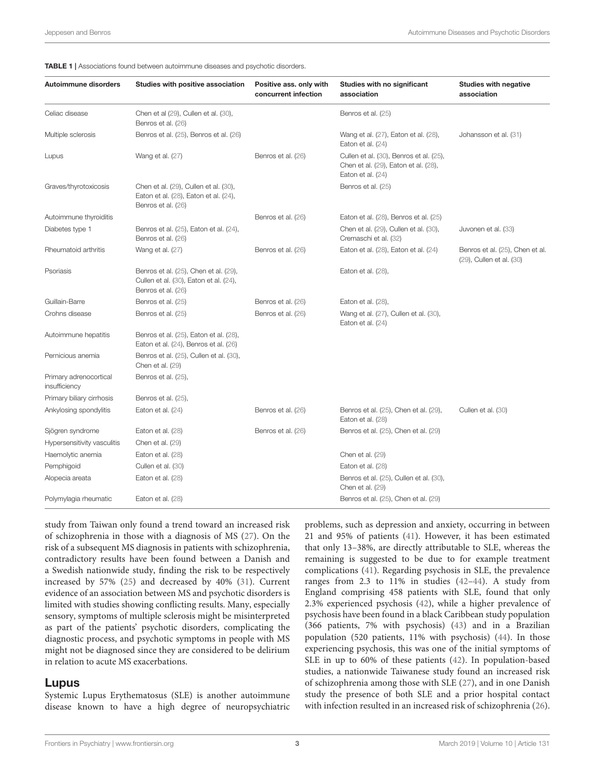<span id="page-2-0"></span>

|  |  |  | <b>TABLE 1</b>   Associations found between autoimmune diseases and psychotic disorders. |  |  |  |  |  |  |  |
|--|--|--|------------------------------------------------------------------------------------------|--|--|--|--|--|--|--|
|--|--|--|------------------------------------------------------------------------------------------|--|--|--|--|--|--|--|

|                                         |                                                                                                       | concurrent infection | Studies with no significant<br>association                                                           | <b>Studies with negative</b><br>association                 |
|-----------------------------------------|-------------------------------------------------------------------------------------------------------|----------------------|------------------------------------------------------------------------------------------------------|-------------------------------------------------------------|
| Celiac disease                          | Chen et al (29), Cullen et al. (30),<br>Benros et al. (26)                                            |                      | Benros et al. (25)                                                                                   |                                                             |
| Multiple sclerosis                      | Benros et al. (25), Benros et al. (26)                                                                |                      | Wang et al. (27), Eaton et al. (28),<br>Eaton et al. $(24)$                                          | Johansson et al. (31)                                       |
| Lupus                                   | Wang et al. (27)                                                                                      | Benros et al. (26)   | Cullen et al. (30), Benros et al. (25),<br>Chen et al. (29), Eaton et al. (28),<br>Eaton et al. (24) |                                                             |
| Graves/thyrotoxicosis                   | Chen et al. (29), Cullen et al. (30),<br>Eaton et al. (28), Eaton et al. (24),<br>Benros et al. (26)  |                      | Benros et al. (25)                                                                                   |                                                             |
| Autoimmune thyroiditis                  |                                                                                                       | Benros et al. (26)   | Eaton et al. (28), Benros et al. (25)                                                                |                                                             |
| Diabetes type 1                         | Benros et al. (25), Eaton et al. (24),<br>Benros et al. (26)                                          |                      | Chen et al. (29), Cullen et al. (30),<br>Cremaschi et al. (32)                                       | Juvonen et al. (33)                                         |
| Rheumatoid arthritis                    | Wang et al. (27)                                                                                      | Benros et al. (26)   | Eaton et al. (28), Eaton et al. (24)                                                                 | Benros et al. (25), Chen et al.<br>(29), Cullen et al. (30) |
| Psoriasis                               | Benros et al. (25), Chen et al. (29),<br>Cullen et al. (30), Eaton et al. (24),<br>Benros et al. (26) |                      | Eaton et al. (28),                                                                                   |                                                             |
| Guillain-Barre                          | Benros et al. (25)                                                                                    | Benros et al. (26)   | Eaton et al. (28),                                                                                   |                                                             |
| Crohns disease                          | Benros et al. (25)                                                                                    | Benros et al. (26)   | Wang et al. (27), Cullen et al. (30),<br>Eaton et al. $(24)$                                         |                                                             |
| Autoimmune hepatitis                    | Benros et al. (25), Eaton et al. (28),<br>Eaton et al. (24), Benros et al. (26)                       |                      |                                                                                                      |                                                             |
| Pernicious anemia                       | Benros et al. (25), Cullen et al. (30),<br>Chen et al. (29)                                           |                      |                                                                                                      |                                                             |
| Primary adrenocortical<br>insufficiency | Benros et al. (25),                                                                                   |                      |                                                                                                      |                                                             |
| Primary biliary cirrhosis               | Benros et al. (25),                                                                                   |                      |                                                                                                      |                                                             |
| Ankylosing spondylitis                  | Eaton et al. (24)                                                                                     | Benros et al. (26)   | Benros et al. (25), Chen et al. (29),<br>Eaton et al. (28)                                           | Cullen et al. (30)                                          |
| Sjögren syndrome                        | Eaton et al. (28)                                                                                     | Benros et al. (26)   | Benros et al. (25), Chen et al. (29)                                                                 |                                                             |
| Hypersensitivity vasculitis             | Chen et al. (29)                                                                                      |                      |                                                                                                      |                                                             |
| Haemolytic anemia                       | Eaton et al. (28)                                                                                     |                      | Chen et al. (29)                                                                                     |                                                             |
| Pemphigoid                              | Cullen et al. (30)                                                                                    |                      | Eaton et al. (28)                                                                                    |                                                             |
| Alopecia areata                         | Eaton et al. (28)                                                                                     |                      | Benros et al. (25), Cullen et al. (30),<br>Chen et al. (29)                                          |                                                             |
| Polymylagia rheumatic                   | Eaton et al. (28)                                                                                     |                      | Benros et al. (25), Chen et al. (29)                                                                 |                                                             |

study from Taiwan only found a trend toward an increased risk of schizophrenia in those with a diagnosis of MS [\(27\)](#page-7-24). On the risk of a subsequent MS diagnosis in patients with schizophrenia, contradictory results have been found between a Danish and a Swedish nationwide study, finding the risk to be respectively increased by 57% [\(25\)](#page-7-21) and decreased by 40% [\(31\)](#page-7-30). Current evidence of an association between MS and psychotic disorders is limited with studies showing conflicting results. Many, especially sensory, symptoms of multiple sclerosis might be misinterpreted as part of the patients' psychotic disorders, complicating the diagnostic process, and psychotic symptoms in people with MS might not be diagnosed since they are considered to be delirium in relation to acute MS exacerbations.

#### Lupus

Systemic Lupus Erythematosus (SLE) is another autoimmune disease known to have a high degree of neuropsychiatric problems, such as depression and anxiety, occurring in between 21 and 95% of patients [\(41\)](#page-8-2). However, it has been estimated that only 13–38%, are directly attributable to SLE, whereas the remaining is suggested to be due to for example treatment complications [\(41\)](#page-8-2). Regarding psychosis in SLE, the prevalence ranges from 2.3 to 11% in studies [\(42–](#page-8-3)[44\)](#page-8-4). A study from England comprising 458 patients with SLE, found that only 2.3% experienced psychosis [\(42\)](#page-8-3), while a higher prevalence of psychosis have been found in a black Caribbean study population (366 patients, 7% with psychosis) [\(43\)](#page-8-5) and in a Brazilian population (520 patients, 11% with psychosis) [\(44\)](#page-8-4). In those experiencing psychosis, this was one of the initial symptoms of SLE in up to 60% of these patients [\(42\)](#page-8-3). In population-based studies, a nationwide Taiwanese study found an increased risk of schizophrenia among those with SLE [\(27\)](#page-7-24), and in one Danish study the presence of both SLE and a prior hospital contact with infection resulted in an increased risk of schizophrenia [\(26\)](#page-7-22).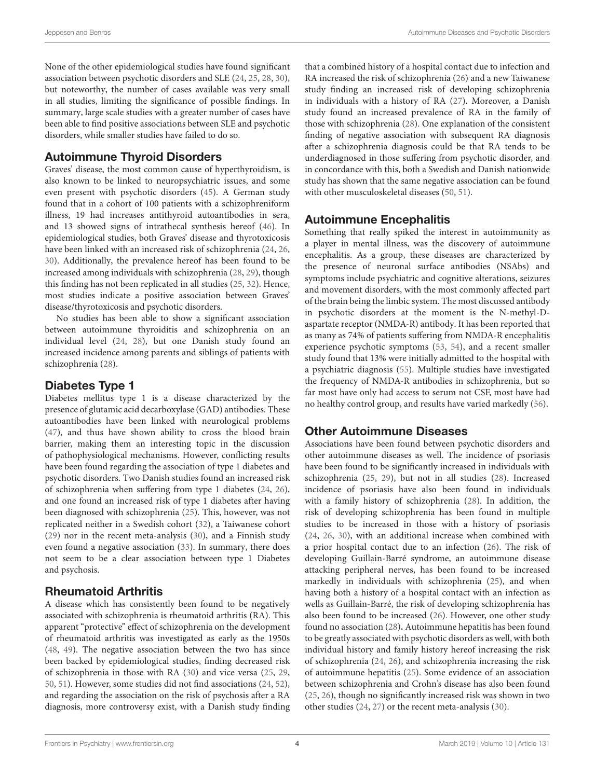None of the other epidemiological studies have found significant association between psychotic disorders and SLE [\(24,](#page-7-19) [25,](#page-7-21) [28,](#page-7-23) [30\)](#page-7-25), but noteworthy, the number of cases available was very small in all studies, limiting the significance of possible findings. In summary, large scale studies with a greater number of cases have been able to find positive associations between SLE and psychotic disorders, while smaller studies have failed to do so.

### Autoimmune Thyroid Disorders

Graves' disease, the most common cause of hyperthyroidism, is also known to be linked to neuropsychiatric issues, and some even present with psychotic disorders [\(45\)](#page-8-6). A German study found that in a cohort of 100 patients with a schizophreniform illness, 19 had increases antithyroid autoantibodies in sera, and 13 showed signs of intrathecal synthesis hereof [\(46\)](#page-8-7). In epidemiological studies, both Graves' disease and thyrotoxicosis have been linked with an increased risk of schizophrenia [\(24,](#page-7-19) [26,](#page-7-22) [30\)](#page-7-25). Additionally, the prevalence hereof has been found to be increased among individuals with schizophrenia [\(28,](#page-7-23) [29\)](#page-7-20), though this finding has not been replicated in all studies [\(25,](#page-7-21) [32\)](#page-7-31). Hence, most studies indicate a positive association between Graves' disease/thyrotoxicosis and psychotic disorders.

No studies has been able to show a significant association between autoimmune thyroiditis and schizophrenia on an individual level [\(24,](#page-7-19) [28\)](#page-7-23), but one Danish study found an increased incidence among parents and siblings of patients with schizophrenia [\(28\)](#page-7-23).

#### Diabetes Type 1

Diabetes mellitus type 1 is a disease characterized by the presence of glutamic acid decarboxylase (GAD) antibodies. These autoantibodies have been linked with neurological problems [\(47\)](#page-8-8), and thus have shown ability to cross the blood brain barrier, making them an interesting topic in the discussion of pathophysiological mechanisms. However, conflicting results have been found regarding the association of type 1 diabetes and psychotic disorders. Two Danish studies found an increased risk of schizophrenia when suffering from type 1 diabetes [\(24,](#page-7-19) [26\)](#page-7-22), and one found an increased risk of type 1 diabetes after having been diagnosed with schizophrenia [\(25\)](#page-7-21). This, however, was not replicated neither in a Swedish cohort [\(32\)](#page-7-31), a Taiwanese cohort [\(29\)](#page-7-20) nor in the recent meta-analysis [\(30\)](#page-7-25), and a Finnish study even found a negative association [\(33\)](#page-7-32). In summary, there does not seem to be a clear association between type 1 Diabetes and psychosis.

### Rheumatoid Arthritis

A disease which has consistently been found to be negatively associated with schizophrenia is rheumatoid arthritis (RA). This apparent "protective" effect of schizophrenia on the development of rheumatoid arthritis was investigated as early as the 1950s [\(48,](#page-8-9) [49\)](#page-8-10). The negative association between the two has since been backed by epidemiological studies, finding decreased risk of schizophrenia in those with RA [\(30\)](#page-7-25) and vice versa [\(25,](#page-7-21) [29,](#page-7-20) [50,](#page-8-11) [51\)](#page-8-12). However, some studies did not find associations [\(24,](#page-7-19) [52\)](#page-8-13), and regarding the association on the risk of psychosis after a RA diagnosis, more controversy exist, with a Danish study finding that a combined history of a hospital contact due to infection and RA increased the risk of schizophrenia [\(26\)](#page-7-22) and a new Taiwanese study finding an increased risk of developing schizophrenia in individuals with a history of RA [\(27\)](#page-7-24). Moreover, a Danish study found an increased prevalence of RA in the family of those with schizophrenia [\(28\)](#page-7-23). One explanation of the consistent finding of negative association with subsequent RA diagnosis after a schizophrenia diagnosis could be that RA tends to be underdiagnosed in those suffering from psychotic disorder, and in concordance with this, both a Swedish and Danish nationwide study has shown that the same negative association can be found with other musculoskeletal diseases [\(50,](#page-8-11) [51\)](#page-8-12).

### Autoimmune Encephalitis

Something that really spiked the interest in autoimmunity as a player in mental illness, was the discovery of autoimmune encephalitis. As a group, these diseases are characterized by the presence of neuronal surface antibodies (NSAbs) and symptoms include psychiatric and cognitive alterations, seizures and movement disorders, with the most commonly affected part of the brain being the limbic system. The most discussed antibody in psychotic disorders at the moment is the N-methyl-Daspartate receptor (NMDA-R) antibody. It has been reported that as many as 74% of patients suffering from NMDA-R encephalitis experience psychotic symptoms [\(53,](#page-8-14) [54\)](#page-8-15), and a recent smaller study found that 13% were initially admitted to the hospital with a psychiatric diagnosis [\(55\)](#page-8-16). Multiple studies have investigated the frequency of NMDA-R antibodies in schizophrenia, but so far most have only had access to serum not CSF, most have had no healthy control group, and results have varied markedly [\(56\)](#page-8-17).

### Other Autoimmune Diseases

Associations have been found between psychotic disorders and other autoimmune diseases as well. The incidence of psoriasis have been found to be significantly increased in individuals with schizophrenia [\(25,](#page-7-21) [29\)](#page-7-20), but not in all studies [\(28\)](#page-7-23). Increased incidence of psoriasis have also been found in individuals with a family history of schizophrenia [\(28\)](#page-7-23). In addition, the risk of developing schizophrenia has been found in multiple studies to be increased in those with a history of psoriasis [\(24,](#page-7-19) [26,](#page-7-22) [30\)](#page-7-25), with an additional increase when combined with a prior hospital contact due to an infection [\(26\)](#page-7-22). The risk of developing Guillain-Barré syndrome, an autoimmune disease attacking peripheral nerves, has been found to be increased markedly in individuals with schizophrenia [\(25\)](#page-7-21), and when having both a history of a hospital contact with an infection as wells as Guillain-Barré, the risk of developing schizophrenia has also been found to be increased [\(26\)](#page-7-22). However, one other study found no association [\(28\)](#page-7-23)**.** Autoimmune hepatitis has been found to be greatly associated with psychotic disorders as well, with both individual history and family history hereof increasing the risk of schizophrenia [\(24,](#page-7-19) [26\)](#page-7-22), and schizophrenia increasing the risk of autoimmune hepatitis [\(25\)](#page-7-21). Some evidence of an association between schizophrenia and Crohn's disease has also been found [\(25,](#page-7-21) [26\)](#page-7-22), though no significantly increased risk was shown in two other studies [\(24,](#page-7-19) [27\)](#page-7-24) or the recent meta-analysis [\(30\)](#page-7-25).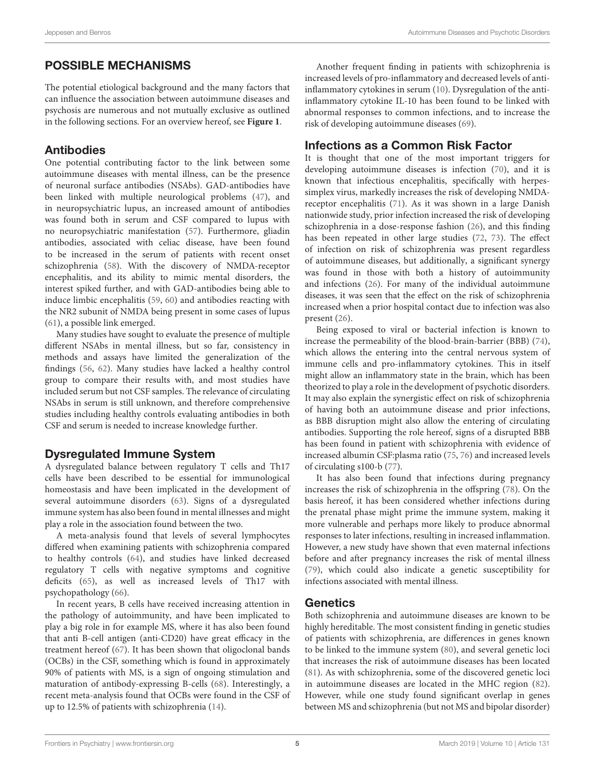# POSSIBLE MECHANISMS

The potential etiological background and the many factors that can influence the association between autoimmune diseases and psychosis are numerous and not mutually exclusive as outlined in the following sections. For an overview hereof, see **[Figure 1](#page-5-0)**.

## Antibodies

One potential contributing factor to the link between some autoimmune diseases with mental illness, can be the presence of neuronal surface antibodies (NSAbs). GAD-antibodies have been linked with multiple neurological problems [\(47\)](#page-8-8), and in neuropsychiatric lupus, an increased amount of antibodies was found both in serum and CSF compared to lupus with no neuropsychiatric manifestation [\(57\)](#page-8-18). Furthermore, gliadin antibodies, associated with celiac disease, have been found to be increased in the serum of patients with recent onset schizophrenia [\(58\)](#page-8-19). With the discovery of NMDA-receptor encephalitis, and its ability to mimic mental disorders, the interest spiked further, and with GAD-antibodies being able to induce limbic encephalitis [\(59,](#page-8-20) [60\)](#page-8-21) and antibodies reacting with the NR2 subunit of NMDA being present in some cases of lupus [\(61\)](#page-8-22), a possible link emerged.

Many studies have sought to evaluate the presence of multiple different NSAbs in mental illness, but so far, consistency in methods and assays have limited the generalization of the findings [\(56,](#page-8-17) [62\)](#page-8-23). Many studies have lacked a healthy control group to compare their results with, and most studies have included serum but not CSF samples. The relevance of circulating NSAbs in serum is still unknown, and therefore comprehensive studies including healthy controls evaluating antibodies in both CSF and serum is needed to increase knowledge further.

### Dysregulated Immune System

A dysregulated balance between regulatory T cells and Th17 cells have been described to be essential for immunological homeostasis and have been implicated in the development of several autoimmune disorders [\(63\)](#page-8-24). Signs of a dysregulated immune system has also been found in mental illnesses and might play a role in the association found between the two.

A meta-analysis found that levels of several lymphocytes differed when examining patients with schizophrenia compared to healthy controls [\(64\)](#page-8-25), and studies have linked decreased regulatory T cells with negative symptoms and cognitive deficits [\(65\)](#page-8-26), as well as increased levels of Th17 with psychopathology [\(66\)](#page-8-27).

In recent years, B cells have received increasing attention in the pathology of autoimmunity, and have been implicated to play a big role in for example MS, where it has also been found that anti B-cell antigen (anti-CD20) have great efficacy in the treatment hereof [\(67\)](#page-8-28). It has been shown that oligoclonal bands (OCBs) in the CSF, something which is found in approximately 90% of patients with MS, is a sign of ongoing stimulation and maturation of antibody-expressing B-cells [\(68\)](#page-8-29). Interestingly, a recent meta-analysis found that OCBs were found in the CSF of up to 12.5% of patients with schizophrenia [\(14\)](#page-7-11).

Another frequent finding in patients with schizophrenia is increased levels of pro-inflammatory and decreased levels of antiinflammatory cytokines in serum [\(10\)](#page-7-8). Dysregulation of the antiinflammatory cytokine IL-10 has been found to be linked with abnormal responses to common infections, and to increase the risk of developing autoimmune diseases [\(69\)](#page-8-30).

# Infections as a Common Risk Factor

It is thought that one of the most important triggers for developing autoimmune diseases is infection [\(70\)](#page-8-31), and it is known that infectious encephalitis, specifically with herpessimplex virus, markedly increases the risk of developing NMDAreceptor encephalitis [\(71\)](#page-8-32). As it was shown in a large Danish nationwide study, prior infection increased the risk of developing schizophrenia in a dose-response fashion [\(26\)](#page-7-22), and this finding has been repeated in other large studies [\(72,](#page-8-33) [73\)](#page-8-34). The effect of infection on risk of schizophrenia was present regardless of autoimmune diseases, but additionally, a significant synergy was found in those with both a history of autoimmunity and infections [\(26\)](#page-7-22). For many of the individual autoimmune diseases, it was seen that the effect on the risk of schizophrenia increased when a prior hospital contact due to infection was also present [\(26\)](#page-7-22).

Being exposed to viral or bacterial infection is known to increase the permeability of the blood-brain-barrier (BBB) [\(74\)](#page-8-35), which allows the entering into the central nervous system of immune cells and pro-inflammatory cytokines. This in itself might allow an inflammatory state in the brain, which has been theorized to play a role in the development of psychotic disorders. It may also explain the synergistic effect on risk of schizophrenia of having both an autoimmune disease and prior infections, as BBB disruption might also allow the entering of circulating antibodies. Supporting the role hereof, signs of a disrupted BBB has been found in patient with schizophrenia with evidence of increased albumin CSF:plasma ratio [\(75,](#page-8-36) [76\)](#page-8-37) and increased levels of circulating s100-b [\(77\)](#page-8-38).

It has also been found that infections during pregnancy increases the risk of schizophrenia in the offspring [\(78\)](#page-9-0). On the basis hereof, it has been considered whether infections during the prenatal phase might prime the immune system, making it more vulnerable and perhaps more likely to produce abnormal responses to later infections, resulting in increased inflammation. However, a new study have shown that even maternal infections before and after pregnancy increases the risk of mental illness [\(79\)](#page-9-1), which could also indicate a genetic susceptibility for infections associated with mental illness.

### **Genetics**

Both schizophrenia and autoimmune diseases are known to be highly hereditable. The most consistent finding in genetic studies of patients with schizophrenia, are differences in genes known to be linked to the immune system [\(80\)](#page-9-2), and several genetic loci that increases the risk of autoimmune diseases has been located [\(81\)](#page-9-3). As with schizophrenia, some of the discovered genetic loci in autoimmune diseases are located in the MHC region [\(82\)](#page-9-4). However, while one study found significant overlap in genes between MS and schizophrenia (but not MS and bipolar disorder)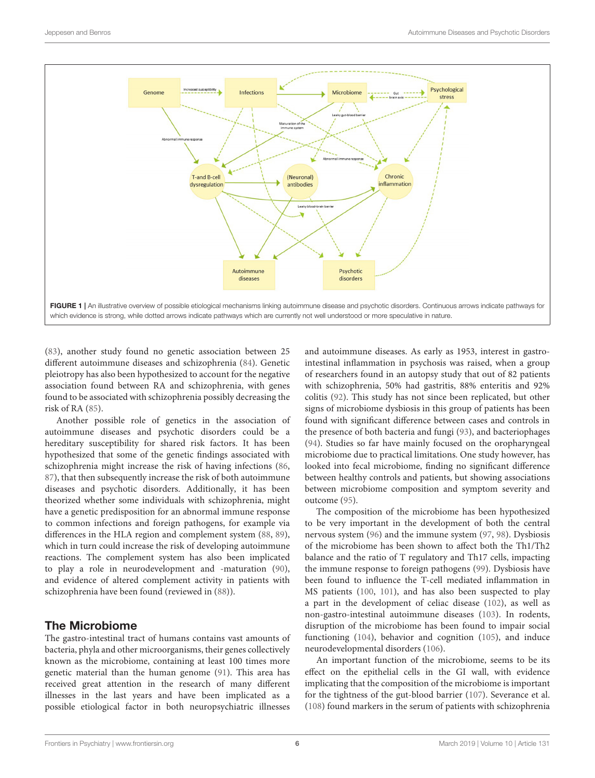

<span id="page-5-0"></span>[\(83\)](#page-9-5), another study found no genetic association between 25 different autoimmune diseases and schizophrenia [\(84\)](#page-9-6). Genetic pleiotropy has also been hypothesized to account for the negative association found between RA and schizophrenia, with genes found to be associated with schizophrenia possibly decreasing the risk of RA [\(85\)](#page-9-7).

Another possible role of genetics in the association of autoimmune diseases and psychotic disorders could be a hereditary susceptibility for shared risk factors. It has been hypothesized that some of the genetic findings associated with schizophrenia might increase the risk of having infections [\(86,](#page-9-8) [87\)](#page-9-9), that then subsequently increase the risk of both autoimmune diseases and psychotic disorders. Additionally, it has been theorized whether some individuals with schizophrenia, might have a genetic predisposition for an abnormal immune response to common infections and foreign pathogens, for example via differences in the HLA region and complement system [\(88,](#page-9-10) [89\)](#page-9-11), which in turn could increase the risk of developing autoimmune reactions. The complement system has also been implicated to play a role in neurodevelopment and -maturation [\(90\)](#page-9-12), and evidence of altered complement activity in patients with schizophrenia have been found (reviewed in [\(88\)](#page-9-10)).

#### The Microbiome

The gastro-intestinal tract of humans contains vast amounts of bacteria, phyla and other microorganisms, their genes collectively known as the microbiome, containing at least 100 times more genetic material than the human genome [\(91\)](#page-9-13). This area has received great attention in the research of many different illnesses in the last years and have been implicated as a possible etiological factor in both neuropsychiatric illnesses and autoimmune diseases. As early as 1953, interest in gastrointestinal inflammation in psychosis was raised, when a group of researchers found in an autopsy study that out of 82 patients with schizophrenia, 50% had gastritis, 88% enteritis and 92% colitis [\(92\)](#page-9-14). This study has not since been replicated, but other signs of microbiome dysbiosis in this group of patients has been found with significant difference between cases and controls in the presence of both bacteria and fungi [\(93\)](#page-9-15), and bacteriophages [\(94\)](#page-9-16). Studies so far have mainly focused on the oropharyngeal microbiome due to practical limitations. One study however, has looked into fecal microbiome, finding no significant difference between healthy controls and patients, but showing associations between microbiome composition and symptom severity and outcome [\(95\)](#page-9-17).

The composition of the microbiome has been hypothesized to be very important in the development of both the central nervous system [\(96\)](#page-9-18) and the immune system [\(97,](#page-9-19) [98\)](#page-9-20). Dysbiosis of the microbiome has been shown to affect both the Th1/Th2 balance and the ratio of T regulatory and Th17 cells, impacting the immune response to foreign pathogens [\(99\)](#page-9-21). Dysbiosis have been found to influence the T-cell mediated inflammation in MS patients [\(100,](#page-9-22) [101\)](#page-9-23), and has also been suspected to play a part in the development of celiac disease [\(102\)](#page-9-24), as well as non-gastro-intestinal autoimmune diseases [\(103\)](#page-9-25). In rodents, disruption of the microbiome has been found to impair social functioning [\(104\)](#page-9-26), behavior and cognition [\(105\)](#page-9-27), and induce neurodevelopmental disorders [\(106\)](#page-9-28).

An important function of the microbiome, seems to be its effect on the epithelial cells in the GI wall, with evidence implicating that the composition of the microbiome is important for the tightness of the gut-blood barrier [\(107\)](#page-9-29). Severance et al. [\(108\)](#page-9-30) found markers in the serum of patients with schizophrenia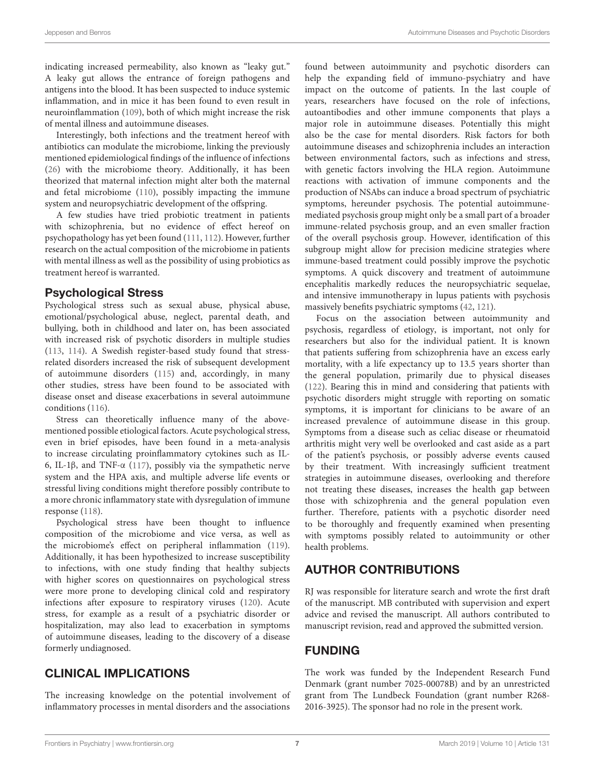indicating increased permeability, also known as "leaky gut." A leaky gut allows the entrance of foreign pathogens and antigens into the blood. It has been suspected to induce systemic inflammation, and in mice it has been found to even result in neuroinflammation [\(109\)](#page-9-31), both of which might increase the risk of mental illness and autoimmune diseases.

Interestingly, both infections and the treatment hereof with antibiotics can modulate the microbiome, linking the previously mentioned epidemiological findings of the influence of infections [\(26\)](#page-7-22) with the microbiome theory. Additionally, it has been theorized that maternal infection might alter both the maternal and fetal microbiome [\(110\)](#page-9-32), possibly impacting the immune system and neuropsychiatric development of the offspring.

A few studies have tried probiotic treatment in patients with schizophrenia, but no evidence of effect hereof on psychopathology has yet been found [\(111,](#page-9-33) [112\)](#page-9-34). However, further research on the actual composition of the microbiome in patients with mental illness as well as the possibility of using probiotics as treatment hereof is warranted.

#### Psychological Stress

Psychological stress such as sexual abuse, physical abuse, emotional/psychological abuse, neglect, parental death, and bullying, both in childhood and later on, has been associated with increased risk of psychotic disorders in multiple studies [\(113,](#page-9-35) [114\)](#page-10-0). A Swedish register-based study found that stressrelated disorders increased the risk of subsequent development of autoimmune disorders [\(115\)](#page-10-1) and, accordingly, in many other studies, stress have been found to be associated with disease onset and disease exacerbations in several autoimmune conditions [\(116\)](#page-10-2).

Stress can theoretically influence many of the abovementioned possible etiological factors. Acute psychological stress, even in brief episodes, have been found in a meta-analysis to increase circulating proinflammatory cytokines such as IL-6, IL-1β, and TNF-α [\(117\)](#page-10-3), possibly via the sympathetic nerve system and the HPA axis, and multiple adverse life events or stressful living conditions might therefore possibly contribute to a more chronic inflammatory state with dysregulation of immune response [\(118\)](#page-10-4).

Psychological stress have been thought to influence composition of the microbiome and vice versa, as well as the microbiome's effect on peripheral inflammation [\(119\)](#page-10-5). Additionally, it has been hypothesized to increase susceptibility to infections, with one study finding that healthy subjects with higher scores on questionnaires on psychological stress were more prone to developing clinical cold and respiratory infections after exposure to respiratory viruses [\(120\)](#page-10-6). Acute stress, for example as a result of a psychiatric disorder or hospitalization, may also lead to exacerbation in symptoms of autoimmune diseases, leading to the discovery of a disease formerly undiagnosed.

### CLINICAL IMPLICATIONS

The increasing knowledge on the potential involvement of inflammatory processes in mental disorders and the associations found between autoimmunity and psychotic disorders can help the expanding field of immuno-psychiatry and have impact on the outcome of patients. In the last couple of years, researchers have focused on the role of infections, autoantibodies and other immune components that plays a major role in autoimmune diseases. Potentially this might also be the case for mental disorders. Risk factors for both autoimmune diseases and schizophrenia includes an interaction between environmental factors, such as infections and stress, with genetic factors involving the HLA region. Autoimmune reactions with activation of immune components and the production of NSAbs can induce a broad spectrum of psychiatric symptoms, hereunder psychosis. The potential autoimmunemediated psychosis group might only be a small part of a broader immune-related psychosis group, and an even smaller fraction of the overall psychosis group. However, identification of this subgroup might allow for precision medicine strategies where immune-based treatment could possibly improve the psychotic symptoms. A quick discovery and treatment of autoimmune encephalitis markedly reduces the neuropsychiatric sequelae, and intensive immunotherapy in lupus patients with psychosis massively benefits psychiatric symptoms [\(42,](#page-8-3) [121\)](#page-10-7).

Focus on the association between autoimmunity and psychosis, regardless of etiology, is important, not only for researchers but also for the individual patient. It is known that patients suffering from schizophrenia have an excess early mortality, with a life expectancy up to 13.5 years shorter than the general population, primarily due to physical diseases [\(122\)](#page-10-8). Bearing this in mind and considering that patients with psychotic disorders might struggle with reporting on somatic symptoms, it is important for clinicians to be aware of an increased prevalence of autoimmune disease in this group. Symptoms from a disease such as celiac disease or rheumatoid arthritis might very well be overlooked and cast aside as a part of the patient's psychosis, or possibly adverse events caused by their treatment. With increasingly sufficient treatment strategies in autoimmune diseases, overlooking and therefore not treating these diseases, increases the health gap between those with schizophrenia and the general population even further. Therefore, patients with a psychotic disorder need to be thoroughly and frequently examined when presenting with symptoms possibly related to autoimmunity or other health problems.

### AUTHOR CONTRIBUTIONS

RJ was responsible for literature search and wrote the first draft of the manuscript. MB contributed with supervision and expert advice and revised the manuscript. All authors contributed to manuscript revision, read and approved the submitted version.

#### FUNDING

The work was funded by the Independent Research Fund Denmark (grant number 7025-00078B) and by an unrestricted grant from The Lundbeck Foundation (grant number R268- 2016-3925). The sponsor had no role in the present work.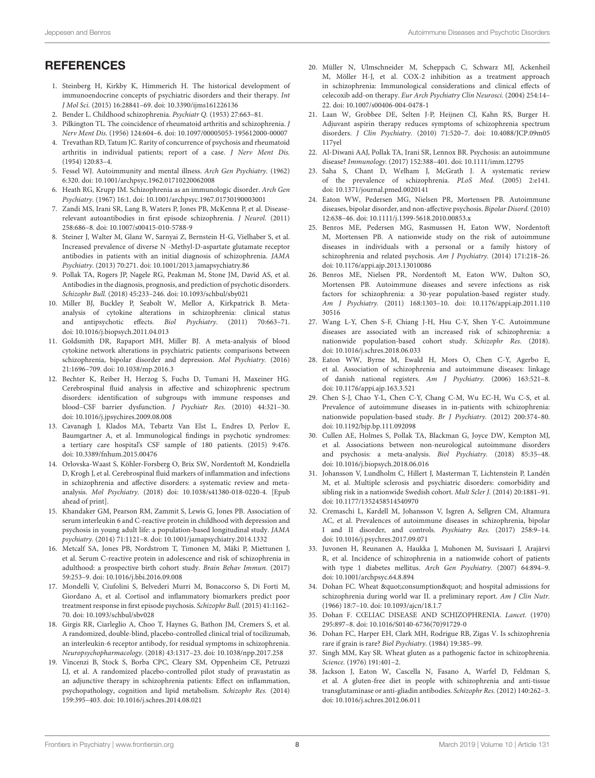# **REFERENCES**

- <span id="page-7-0"></span>1. Steinberg H, Kirkby K, Himmerich H. The historical development of immunoendocrine concepts of psychiatric disorders and their therapy. Int J Mol Sci. (2015) 16:28841–69. doi: [10.3390/ijms161226136](https://doi.org/10.3390/ijms161226136)
- <span id="page-7-1"></span>2. Bender L. Childhood schizophrenia. Psychiatr Q. (1953) 27:663–81.
- <span id="page-7-2"></span>3. Pilkington TL. The coincidence of rheumatoid arthritis and schizophrenia. J Nerv Ment Dis. (1956) 124:604–6. doi: [10.1097/00005053-195612000-00007](https://doi.org/10.1097/00005053-195612000-00007)
- <span id="page-7-3"></span>4. Trevathan RD, Tatum JC. Rarity of concurrence of psychosis and rheumatoid arthritis in individual patients; report of a case. J Nerv Ment Dis. (1954) 120:83–4.
- <span id="page-7-4"></span>5. Fessel WJ. Autoimmunity and mental illness. Arch Gen Psychiatry. (1962) 6:320. doi: [10.1001/archpsyc.1962.01710220062008](https://doi.org/10.1001/archpsyc.1962.01710220062008)
- <span id="page-7-5"></span>6. Heath RG, Krupp IM. Schizophrenia as an immunologic disorder. Arch Gen Psychiatry. (1967) 16:1. doi: [10.1001/archpsyc.1967.01730190003001](https://doi.org/10.1001/archpsyc.1967.01730190003001)
- <span id="page-7-6"></span>7. Zandi MS, Irani SR, Lang B, Waters P, Jones PB, McKenna P, et al. Diseaserelevant autoantibodies in first episode schizophrenia. J Neurol. (2011) 258:686–8. doi: [10.1007/s00415-010-5788-9](https://doi.org/10.1007/s00415-010-5788-9)
- 8. Steiner J, Walter M, Glanz W, Sarnyai Z, Bernstein H-G, Vielhaber S, et al. Increased prevalence of diverse N -Methyl-D-aspartate glutamate receptor antibodies in patients with an initial diagnosis of schizophrenia. JAMA Psychiatry. (2013) 70:271. doi: [10.1001/2013.jamapsychiatry.86](https://doi.org/10.1001/2013.jamapsychiatry.86)
- <span id="page-7-7"></span>9. Pollak TA, Rogers JP, Nagele RG, Peakman M, Stone JM, David AS, et al. Antibodies in the diagnosis, prognosis, and prediction of psychotic disorders. Schizophr Bull. (2018) 45:233–246. doi: [10.1093/schbul/sby021](https://doi.org/10.1093/schbul/sby021)
- <span id="page-7-8"></span>10. Miller BJ, Buckley P, Seabolt W, Mellor A, Kirkpatrick B. Metaanalysis of cytokine alterations in schizophrenia: clinical status and antipsychotic effects. Biol Psychiatry. (2011) 70:663–71. doi: [10.1016/j.biopsych.2011.04.013](https://doi.org/10.1016/j.biopsych.2011.04.013)
- <span id="page-7-9"></span>11. Goldsmith DR, Rapaport MH, Miller BJ. A meta-analysis of blood cytokine network alterations in psychiatric patients: comparisons between schizophrenia, bipolar disorder and depression. Mol Psychiatry. (2016) 21:1696–709. doi: [10.1038/mp.2016.3](https://doi.org/10.1038/mp.2016.3)
- <span id="page-7-10"></span>12. Bechter K, Reiber H, Herzog S, Fuchs D, Tumani H, Maxeiner HG. Cerebrospinal fluid analysis in affective and schizophrenic spectrum disorders: identification of subgroups with immune responses and blood–CSF barrier dysfunction. J Psychiatr Res. (2010) 44:321–30. doi: [10.1016/j.jpsychires.2009.08.008](https://doi.org/10.1016/j.jpsychires.2009.08.008)
- 13. Cavanagh J, Klados MA, Tebartz Van Elst L, Endres D, Perlov E, Baumgartner A, et al. Immunological findings in psychotic syndromes: a tertiary care hospital's CSF sample of 180 patients. (2015) 9:476. doi: [10.3389/fnhum.2015.00476](https://doi.org/10.3389/fnhum.2015.00476)
- <span id="page-7-11"></span>14. Orlovska-Waast S, Köhler-Forsberg O, Brix SW, Nordentoft M, Kondziella D, Krogh J, et al. Cerebrospinal fluid markers of inflammation and infections in schizophrenia and affective disorders: a systematic review and metaanalysis. Mol Psychiatry. (2018) doi: [10.1038/s41380-018-0220-4.](https://doi.org/10.1038/s41380-018-0220-4) [Epub ahead of print].
- <span id="page-7-12"></span>15. Khandaker GM, Pearson RM, Zammit S, Lewis G, Jones PB. Association of serum interleukin 6 and C-reactive protein in childhood with depression and psychosis in young adult life: a population-based longitudinal study. JAMA psychiatry. (2014) 71:1121–8. doi: [10.1001/jamapsychiatry.2014.1332](https://doi.org/10.1001/jamapsychiatry.2014.1332)
- <span id="page-7-13"></span>16. Metcalf SA, Jones PB, Nordstrom T, Timonen M, Mäki P, Miettunen J, et al. Serum C-reactive protein in adolescence and risk of schizophrenia in adulthood: a prospective birth cohort study. Brain Behav Immun. (2017) 59:253–9. doi: [10.1016/j.bbi.2016.09.008](https://doi.org/10.1016/j.bbi.2016.09.008)
- <span id="page-7-14"></span>17. Mondelli V, Ciufolini S, Belvederi Murri M, Bonaccorso S, Di Forti M, Giordano A, et al. Cortisol and inflammatory biomarkers predict poor treatment response in first episode psychosis. Schizophr Bull. (2015) 41:1162– 70. doi: [10.1093/schbul/sbv028](https://doi.org/10.1093/schbul/sbv028)
- <span id="page-7-15"></span>18. Girgis RR, Ciarleglio A, Choo T, Haynes G, Bathon JM, Cremers S, et al. A randomized, double-blind, placebo-controlled clinical trial of tocilizumab, an interleukin-6 receptor antibody, for residual symptoms in schizophrenia. Neuropsychopharmacology. (2018) 43:1317–23. doi: [10.1038/npp.2017.258](https://doi.org/10.1038/npp.2017.258)
- 19. Vincenzi B, Stock S, Borba CPC, Cleary SM, Oppenheim CE, Petruzzi LJ, et al. A randomized placebo-controlled pilot study of pravastatin as an adjunctive therapy in schizophrenia patients: Effect on inflammation, psychopathology, cognition and lipid metabolism. Schizophr Res. (2014) 159:395–403. doi: [10.1016/j.schres.2014.08.021](https://doi.org/10.1016/j.schres.2014.08.021)
- 20. Müller N, Ulmschneider M, Scheppach C, Schwarz MJ, Ackenheil M, Möller H-J, et al. COX-2 inhibition as a treatment approach in schizophrenia: Immunological considerations and clinical effects of celecoxib add-on therapy. Eur Arch Psychiatry Clin Neurosci. (2004) 254:14– 22. doi: [10.1007/s00406-004-0478-1](https://doi.org/10.1007/s00406-004-0478-1)
- <span id="page-7-16"></span>21. Laan W, Grobbee DE, Selten J-P, Heijnen CJ, Kahn RS, Burger H. Adjuvant aspirin therapy reduces symptoms of schizophrenia spectrum disorders. J Clin Psychiatry. [\(2010\) 71:520–7. doi: 10.4088/JCP.09m05](https://doi.org/10.4088/JCP.09m05117yel) 117yel
- <span id="page-7-17"></span>22. Al-Diwani AAJ, Pollak TA, Irani SR, Lennox BR. Psychosis: an autoimmune disease? Immunology. (2017) 152:388–401. doi: [10.1111/imm.12795](https://doi.org/10.1111/imm.12795)
- <span id="page-7-18"></span>23. Saha S, Chant D, Welham J, McGrath J. A systematic review of the prevalence of schizophrenia. PLoS Med. (2005) 2:e141. doi: [10.1371/journal.pmed.0020141](https://doi.org/10.1371/journal.pmed.0020141)
- <span id="page-7-19"></span>24. Eaton WW, Pedersen MG, Nielsen PR, Mortensen PB. Autoimmune diseases, bipolar disorder, and non-affective psychosis. Bipolar Disord. (2010) 12:638–46. doi: [10.1111/j.1399-5618.2010.00853.x](https://doi.org/10.1111/j.1399-5618.2010.00853.x)
- <span id="page-7-21"></span>25. Benros ME, Pedersen MG, Rasmussen H, Eaton WW, Nordentoft M, Mortensen PB. A nationwide study on the risk of autoimmune diseases in individuals with a personal or a family history of schizophrenia and related psychosis. Am J Psychiatry. (2014) 171:218–26. doi: [10.1176/appi.ajp.2013.13010086](https://doi.org/10.1176/appi.ajp.2013.13010086)
- <span id="page-7-22"></span>26. Benros ME, Nielsen PR, Nordentoft M, Eaton WW, Dalton SO, Mortensen PB. Autoimmune diseases and severe infections as risk factors for schizophrenia: a 30-year population-based register study. Am J Psychiatry. [\(2011\) 168:1303–10. doi: 10.1176/appi.ajp.2011.110](https://doi.org/10.1176/appi.ajp.2011.11030516) 30516
- <span id="page-7-24"></span>27. Wang L-Y, Chen S-F, Chiang J-H, Hsu C-Y, Shen Y-C. Autoimmune diseases are associated with an increased risk of schizophrenia: a nationwide population-based cohort study. Schizophr Res. (2018). doi: [10.1016/j.schres.2018.06.033](https://doi.org/10.1016/j.schres.2018.06.033)
- <span id="page-7-23"></span>28. Eaton WW, Byrne M, Ewald H, Mors O, Chen C-Y, Agerbo E, et al. Association of schizophrenia and autoimmune diseases: linkage of danish national registers. Am J Psychiatry. (2006) 163:521–8. doi: [10.1176/appi.ajp.163.3.521](https://doi.org/10.1176/appi.ajp.163.3.521)
- <span id="page-7-20"></span>29. Chen S-J, Chao Y-L, Chen C-Y, Chang C-M, Wu EC-H, Wu C-S, et al. Prevalence of autoimmune diseases in in-patients with schizophrenia: nationwide population-based study. Br J Psychiatry. (2012) 200:374–80. doi: [10.1192/bjp.bp.111.092098](https://doi.org/10.1192/bjp.bp.111.092098)
- <span id="page-7-25"></span>30. Cullen AE, Holmes S, Pollak TA, Blackman G, Joyce DW, Kempton MJ, et al. Associations between non-neurological autoimmune disorders and psychosis: a meta-analysis. Biol Psychiatry. (2018) 85:35–48. doi: [10.1016/j.biopsych.2018.06.016](https://doi.org/10.1016/j.biopsych.2018.06.016)
- <span id="page-7-30"></span>31. Johansson V, Lundholm C, Hillert J, Masterman T, Lichtenstein P, Landén M, et al. Multiple sclerosis and psychiatric disorders: comorbidity and sibling risk in a nationwide Swedish cohort. Mult Scler J. (2014) 20:1881–91. doi: [10.1177/1352458514540970](https://doi.org/10.1177/1352458514540970)
- <span id="page-7-31"></span>32. Cremaschi L, Kardell M, Johansson V, Isgren A, Sellgren CM, Altamura AC, et al. Prevalences of autoimmune diseases in schizophrenia, bipolar I and II disorder, and controls. Psychiatry Res. (2017) 258:9–14. doi: [10.1016/j.psychres.2017.09.071](https://doi.org/10.1016/j.psychres.2017.09.071)
- <span id="page-7-32"></span>33. Juvonen H, Reunanen A, Haukka J, Muhonen M, Suvisaari J, Arajärvi R, et al. Incidence of schizophrenia in a nationwide cohort of patients with type 1 diabetes mellitus. Arch Gen Psychiatry. (2007) 64:894–9. doi: [10.1001/archpsyc.64.8.894](https://doi.org/10.1001/archpsyc.64.8.894)
- <span id="page-7-26"></span>34. Dohan FC. Wheat "consumption" and hospital admissions for schizophrenia during world war II. a preliminary report. Am J Clin Nutr. (1966) 18:7–10. doi: [10.1093/ajcn/18.1.7](https://doi.org/10.1093/ajcn/18.1.7)
- 35. Dohan F. CŒLIAC DISEASE AND SCHIZOPHRENIA. Lancet. (1970) 295:897–8. doi: [10.1016/S0140-6736\(70\)91729-0](https://doi.org/10.1016/S0140-6736(70)91729-0)
- <span id="page-7-27"></span>36. Dohan FC, Harper EH, Clark MH, Rodrigue RB, Zigas V. Is schizophrenia rare if grain is rare? Biol Psychiatry. (1984) 19:385–99.
- <span id="page-7-28"></span>37. Singh MM, Kay SR. Wheat gluten as a pathogenic factor in schizophrenia. Science. (1976) 191:401–2.
- <span id="page-7-29"></span>38. Jackson J, Eaton W, Cascella N, Fasano A, Warfel D, Feldman S, et al. A gluten-free diet in people with schizophrenia and anti-tissue transglutaminase or anti-gliadin antibodies. Schizophr Res. (2012) 140:262–3. doi: [10.1016/j.schres.2012.06.011](https://doi.org/10.1016/j.schres.2012.06.011)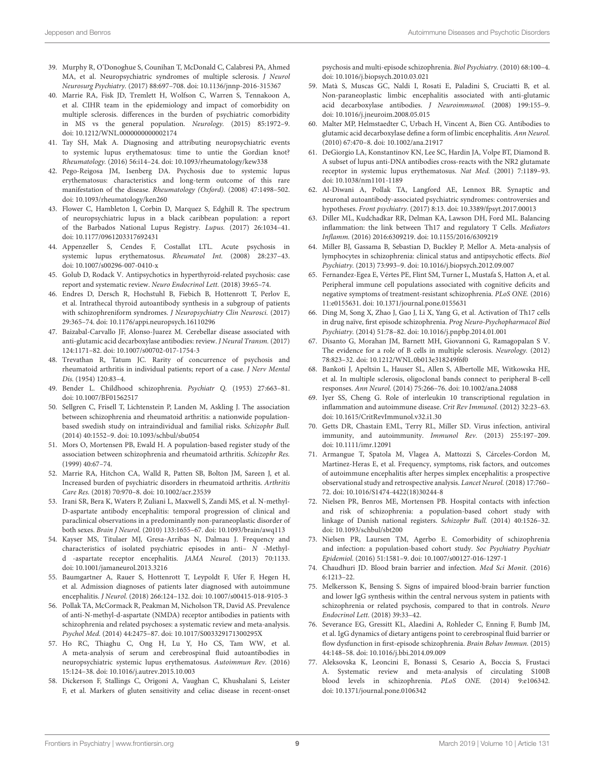- <span id="page-8-0"></span>39. Murphy R, O'Donoghue S, Counihan T, McDonald C, Calabresi PA, Ahmed MA, et al. Neuropsychiatric syndromes of multiple sclerosis. J Neurol Neurosurg Psychiatry. (2017) 88:697–708. doi: [10.1136/jnnp-2016-315367](https://doi.org/10.1136/jnnp-2016-315367)
- <span id="page-8-1"></span>40. Marrie RA, Fisk JD, Tremlett H, Wolfson C, Warren S, Tennakoon A, et al. CIHR team in the epidemiology and impact of comorbidity on multiple sclerosis. differences in the burden of psychiatric comorbidity in MS vs the general population. Neurology. (2015) 85:1972–9. doi: [10.1212/WNL.0000000000002174](https://doi.org/10.1212/WNL.0000000000002174)
- <span id="page-8-2"></span>41. Tay SH, Mak A. Diagnosing and attributing neuropsychiatric events to systemic lupus erythematosus: time to untie the Gordian knot? Rheumatology. (2016) 56:i14–24. doi: [10.1093/rheumatology/kew338](https://doi.org/10.1093/rheumatology/kew338)
- <span id="page-8-3"></span>42. Pego-Reigosa JM, Isenberg DA. Psychosis due to systemic lupus erythematosus: characteristics and long-term outcome of this rare manifestation of the disease. Rheumatology (Oxford). (2008) 47:1498–502. doi: [10.1093/rheumatology/ken260](https://doi.org/10.1093/rheumatology/ken260)
- <span id="page-8-5"></span>43. Flower C, Hambleton I, Corbin D, Marquez S, Edghill R. The spectrum of neuropsychiatric lupus in a black caribbean population: a report of the Barbados National Lupus Registry. Lupus. (2017) 26:1034–41. doi: [10.1177/0961203317692431](https://doi.org/10.1177/0961203317692431)
- <span id="page-8-4"></span>44. Appenzeller S, Cendes F, Costallat LTL. Acute psychosis in systemic lupus erythematosus. Rheumatol Int. (2008) 28:237–43. doi: [10.1007/s00296-007-0410-x](https://doi.org/10.1007/s00296-007-0410-x)
- <span id="page-8-6"></span>45. Golub D, Rodack V. Antipsychotics in hyperthyroid-related psychosis: case report and systematic review. Neuro Endocrinol Lett. (2018) 39:65–74.
- <span id="page-8-7"></span>46. Endres D, Dersch R, Hochstuhl B, Fiebich B, Hottenrott T, Perlov E, et al. Intrathecal thyroid autoantibody synthesis in a subgroup of patients with schizophreniform syndromes. J Neuropsychiatry Clin Neurosci. (2017) 29:365–74. doi: [10.1176/appi.neuropsych.16110296](https://doi.org/10.1176/appi.neuropsych.16110296)
- <span id="page-8-8"></span>47. Baizabal-Carvallo JF, Alonso-Juarez M. Cerebellar disease associated with anti-glutamic acid decarboxylase antibodies: review. J Neural Transm. (2017) 124:1171–82. doi: [10.1007/s00702-017-1754-3](https://doi.org/10.1007/s00702-017-1754-3)
- <span id="page-8-9"></span>48. Trevathan R, Tatum JC. Rarity of concurrence of psychosis and rheumatoid arthritis in individual patients; report of a case. J Nerv Mental Dis. (1954) 120:83–4.
- <span id="page-8-10"></span>49. Bender L. Childhood schizophrenia. Psychiatr Q. (1953) 27:663–81. doi: [10.1007/BF01562517](https://doi.org/10.1007/BF01562517)
- <span id="page-8-11"></span>50. Sellgren C, Frisell T, Lichtenstein P, Landen M, Askling J. The association between schizophrenia and rheumatoid arthritis: a nationwide populationbased swedish study on intraindividual and familial risks. Schizophr Bull. (2014) 40:1552–9. doi: [10.1093/schbul/sbu054](https://doi.org/10.1093/schbul/sbu054)
- <span id="page-8-12"></span>51. Mors O, Mortensen PB, Ewald H. A population-based register study of the association between schizophrenia and rheumatoid arthritis. Schizophr Res. (1999) 40:67–74.
- <span id="page-8-13"></span>52. Marrie RA, Hitchon CA, Walld R, Patten SB, Bolton JM, Sareen J, et al. Increased burden of psychiatric disorders in rheumatoid arthritis. Arthritis Care Res. (2018) 70:970–8. doi: [10.1002/acr.23539](https://doi.org/10.1002/acr.23539)
- <span id="page-8-14"></span>53. Irani SR, Bera K, Waters P, Zuliani L, Maxwell S, Zandi MS, et al. N-methyl-D-aspartate antibody encephalitis: temporal progression of clinical and paraclinical observations in a predominantly non-paraneoplastic disorder of both sexes. Brain J Neurol. (2010) 133:1655–67. doi: [10.1093/brain/awq113](https://doi.org/10.1093/brain/awq113)
- <span id="page-8-15"></span>54. Kayser MS, Titulaer MJ, Gresa-Arribas N, Dalmau J. Frequency and characteristics of isolated psychiatric episodes in anti– N -Methyld -aspartate receptor encephalitis. JAMA Neurol. (2013) 70:1133. doi: [10.1001/jamaneurol.2013.3216](https://doi.org/10.1001/jamaneurol.2013.3216)
- <span id="page-8-16"></span>55. Baumgartner A, Rauer S, Hottenrott T, Leypoldt F, Ufer F, Hegen H, et al. Admission diagnoses of patients later diagnosed with autoimmune encephalitis. J Neurol. (2018) 266:124–132. doi: [10.1007/s00415-018-9105-3](https://doi.org/10.1007/s00415-018-9105-3)
- <span id="page-8-17"></span>56. Pollak TA, McCormack R, Peakman M, Nicholson TR, David AS. Prevalence of anti-N-methyl-d-aspartate (NMDA) receptor antibodies in patients with schizophrenia and related psychoses: a systematic review and meta-analysis. Psychol Med. (2014) 44:2475–87. doi: [10.1017/S003329171300295X](https://doi.org/10.1017/S003329171300295X)
- <span id="page-8-18"></span>57. Ho RC, Thiaghu C, Ong H, Lu Y, Ho CS, Tam WW, et al. A meta-analysis of serum and cerebrospinal fluid autoantibodies in neuropsychiatric systemic lupus erythematosus. Autoimmun Rev. (2016) 15:124–38. doi: [10.1016/j.autrev.2015.10.003](https://doi.org/10.1016/j.autrev.2015.10.003)
- <span id="page-8-19"></span>58. Dickerson F, Stallings C, Origoni A, Vaughan C, Khushalani S, Leister F, et al. Markers of gluten sensitivity and celiac disease in recent-onset

psychosis and multi-episode schizophrenia. Biol Psychiatry. (2010) 68:100–4. doi: [10.1016/j.biopsych.2010.03.021](https://doi.org/10.1016/j.biopsych.2010.03.021)

- <span id="page-8-20"></span>59. Matà S, Muscas GC, Naldi I, Rosati E, Paladini S, Cruciatti B, et al. Non-paraneoplastic limbic encephalitis associated with anti-glutamic acid decarboxylase antibodies. J Neuroimmunol. (2008) 199:155–9. doi: [10.1016/j.jneuroim.2008.05.015](https://doi.org/10.1016/j.jneuroim.2008.05.015)
- <span id="page-8-21"></span>60. Malter MP, Helmstaedter C, Urbach H, Vincent A, Bien CG. Antibodies to glutamic acid decarboxylase define a form of limbic encephalitis. Ann Neurol. (2010) 67:470–8. doi: [10.1002/ana.21917](https://doi.org/10.1002/ana.21917)
- <span id="page-8-22"></span>61. DeGiorgio LA, Konstantinov KN, Lee SC, Hardin JA, Volpe BT, Diamond B. A subset of lupus anti-DNA antibodies cross-reacts with the NR2 glutamate receptor in systemic lupus erythematosus. Nat Med. (2001) 7:1189–93. doi: [10.1038/nm1101-1189](https://doi.org/10.1038/nm1101-1189)
- <span id="page-8-23"></span>62. Al-Diwani A, Pollak TA, Langford AE, Lennox BR. Synaptic and neuronal autoantibody-associated psychiatric syndromes: controversies and hypotheses. Front psychiatry. (2017) 8:13. doi: [10.3389/fpsyt.2017.00013](https://doi.org/10.3389/fpsyt.2017.00013)
- <span id="page-8-24"></span>63. Diller ML, Kudchadkar RR, Delman KA, Lawson DH, Ford ML. Balancing inflammation: the link between Th17 and regulatory T Cells. Mediators Inflamm. (2016) 2016:6309219. doi: [10.1155/2016/6309219](https://doi.org/10.1155/2016/6309219)
- <span id="page-8-25"></span>64. Miller BJ, Gassama B, Sebastian D, Buckley P, Mellor A. Meta-analysis of lymphocytes in schizophrenia: clinical status and antipsychotic effects. Biol Psychiatry. (2013) 73:993–9. doi: [10.1016/j.biopsych.2012.09.007](https://doi.org/10.1016/j.biopsych.2012.09.007)
- <span id="page-8-26"></span>65. Fernandez-Egea E, Vértes PE, Flint SM, Turner L, Mustafa S, Hatton A, et al. Peripheral immune cell populations associated with cognitive deficits and negative symptoms of treatment-resistant schizophrenia. PLoS ONE. (2016) 11:e0155631. doi: [10.1371/journal.pone.0155631](https://doi.org/10.1371/journal.pone.0155631)
- <span id="page-8-27"></span>66. Ding M, Song X, Zhao J, Gao J, Li X, Yang G, et al. Activation of Th17 cells in drug naïve, first episode schizophrenia. Prog Neuro-Psychopharmacol Biol Psychiatry. (2014) 51:78–82. doi: [10.1016/j.pnpbp.2014.01.001](https://doi.org/10.1016/j.pnpbp.2014.01.001)
- <span id="page-8-28"></span>67. Disanto G, Morahan JM, Barnett MH, Giovannoni G, Ramagopalan S V. The evidence for a role of B cells in multiple sclerosis. Neurology. (2012) 78:823–32. doi: [10.1212/WNL.0b013e318249f6f0](https://doi.org/10.1212/WNL.0b013e318249f6f0)
- <span id="page-8-29"></span>68. Bankoti J, Apeltsin L, Hauser SL, Allen S, Albertolle ME, Witkowska HE, et al. In multiple sclerosis, oligoclonal bands connect to peripheral B-cell responses. Ann Neurol. (2014) 75:266–76. doi: [10.1002/ana.24088](https://doi.org/10.1002/ana.24088)
- <span id="page-8-30"></span>69. Iyer SS, Cheng G. Role of interleukin 10 transcriptional regulation in inflammation and autoimmune disease. Crit Rev Immunol. (2012) 32:23–63. doi: [10.1615/CritRevImmunol.v32.i1.30](https://doi.org/10.1615/CritRevImmunol.v32.i1.30)
- <span id="page-8-31"></span>70. Getts DR, Chastain EML, Terry RL, Miller SD. Virus infection, antiviral immunity, and autoimmunity. Immunol Rev. (2013) 255:197–209. doi: [10.1111/imr.12091](https://doi.org/10.1111/imr.12091)
- <span id="page-8-32"></span>71. Armangue T, Spatola M, Vlagea A, Mattozzi S, Cárceles-Cordon M, Martinez-Heras E, et al. Frequency, symptoms, risk factors, and outcomes of autoimmune encephalitis after herpes simplex encephalitis: a prospective observational study and retrospective analysis. Lancet Neurol. (2018) 17:760– 72. doi: [10.1016/S1474-4422\(18\)30244-8](https://doi.org/10.1016/S1474-4422(18)30244-8)
- <span id="page-8-33"></span>72. Nielsen PR, Benros ME, Mortensen PB. Hospital contacts with infection and risk of schizophrenia: a population-based cohort study with linkage of Danish national registers. Schizophr Bull. (2014) 40:1526–32. doi: [10.1093/schbul/sbt200](https://doi.org/10.1093/schbul/sbt200)
- <span id="page-8-34"></span>73. Nielsen PR, Laursen TM, Agerbo E. Comorbidity of schizophrenia and infection: a population-based cohort study. Soc Psychiatry Psychiatr Epidemiol. (2016) 51:1581–9. doi: [10.1007/s00127-016-1297-1](https://doi.org/10.1007/s00127-016-1297-1)
- <span id="page-8-35"></span>74. Chaudhuri JD. Blood brain barrier and infection. Med Sci Monit. (2016) 6:1213–22.
- <span id="page-8-36"></span>75. Melkersson K, Bensing S. Signs of impaired blood-brain barrier function and lower IgG synthesis within the central nervous system in patients with schizophrenia or related psychosis, compared to that in controls. Neuro Endocrinol Lett. (2018) 39:33–42.
- <span id="page-8-37"></span>76. Severance EG, Gressitt KL, Alaedini A, Rohleder C, Enning F, Bumb JM, et al. IgG dynamics of dietary antigens point to cerebrospinal fluid barrier or flow dysfunction in first-episode schizophrenia. Brain Behav Immun. (2015) 44:148–58. doi: [10.1016/j.bbi.2014.09.009](https://doi.org/10.1016/j.bbi.2014.09.009)
- <span id="page-8-38"></span>77. Aleksovska K, Leoncini E, Bonassi S, Cesario A, Boccia S, Frustaci A. Systematic review and meta-analysis of circulating S100B blood levels in schizophrenia. PLoS ONE. (2014) 9:e106342. doi: [10.1371/journal.pone.0106342](https://doi.org/10.1371/journal.pone.0106342)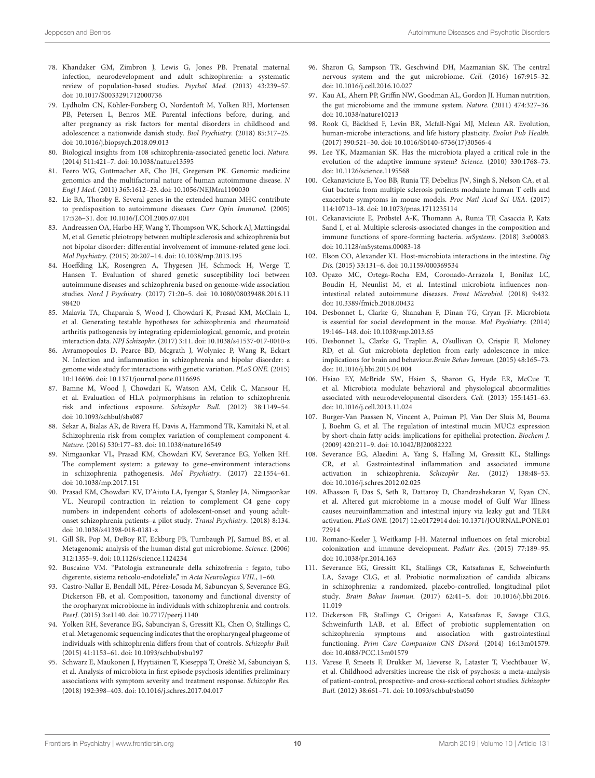- <span id="page-9-0"></span>78. Khandaker GM, Zimbron J, Lewis G, Jones PB. Prenatal maternal infection, neurodevelopment and adult schizophrenia: a systematic review of population-based studies. Psychol Med. (2013) 43:239–57. doi: [10.1017/S0033291712000736](https://doi.org/10.1017/S0033291712000736)
- <span id="page-9-1"></span>79. Lydholm CN, Köhler-Forsberg O, Nordentoft M, Yolken RH, Mortensen PB, Petersen L, Benros ME. Parental infections before, during, and after pregnancy as risk factors for mental disorders in childhood and adolescence: a nationwide danish study. Biol Psychiatry. (2018) 85:317–25. doi: [10.1016/j.biopsych.2018.09.013](https://doi.org/10.1016/j.biopsych.2018.09.013)
- <span id="page-9-2"></span>80. Biological insights from 108 schizophrenia-associated genetic loci. Nature. (2014) 511:421–7. doi: [10.1038/nature13595](https://doi.org/10.1038/nature13595)
- <span id="page-9-3"></span>81. Feero WG, Guttmacher AE, Cho JH, Gregersen PK. Genomic medicine genomics and the multifactorial nature of human autoimmune disease. N Engl J Med. (2011) 365:1612–23. doi: [10.1056/NEJMra1100030](https://doi.org/10.1056/NEJMra1100030)
- <span id="page-9-4"></span>82. Lie BA, Thorsby E. Several genes in the extended human MHC contribute to predisposition to autoimmune diseases. Curr Opin Immunol. (2005) 17:526–31. doi: [10.1016/J.COI.2005.07.001](https://doi.org/10.1016/J.COI.2005.07.001)
- <span id="page-9-5"></span>83. Andreassen OA, Harbo HF, Wang Y, Thompson WK, Schork AJ, Mattingsdal M, et al. Genetic pleiotropy between multiple sclerosis and schizophrenia but not bipolar disorder: differential involvement of immune-related gene loci. Mol Psychiatry. (2015) 20:207–14. doi: [10.1038/mp.2013.195](https://doi.org/10.1038/mp.2013.195)
- <span id="page-9-6"></span>84. Hoeffding LK, Rosengren A, Thygesen JH, Schmock H, Werge T, Hansen T. Evaluation of shared genetic susceptibility loci between autoimmune diseases and schizophrenia based on genome-wide association studies. Nord J Psychiatry. [\(2017\) 71:20–5. doi: 10.1080/08039488.2016.11](https://doi.org/10.1080/08039488.2016.1198420) 98420
- <span id="page-9-7"></span>85. Malavia TA, Chaparala S, Wood J, Chowdari K, Prasad KM, McClain L, et al. Generating testable hypotheses for schizophrenia and rheumatoid arthritis pathogenesis by integrating epidemiological, genomic, and protein interaction data. NPJ Schizophr. (2017) 3:11. doi: [10.1038/s41537-017-0010-z](https://doi.org/10.1038/s41537-017-0010-z)
- <span id="page-9-8"></span>86. Avramopoulos D, Pearce BD, Mcgrath J, Wolyniec P, Wang R, Eckart N. Infection and inflammation in schizophrenia and bipolar disorder: a genome wide study for interactions with genetic variation. PLoS ONE. (2015) 10:116696. doi: [10.1371/journal.pone.0116696](https://doi.org/10.1371/journal.pone.0116696)
- <span id="page-9-9"></span>87. Bamne M, Wood J, Chowdari K, Watson AM, Celik C, Mansour H, et al. Evaluation of HLA polymorphisms in relation to schizophrenia risk and infectious exposure. Schizophr Bull. (2012) 38:1149–54. doi: [10.1093/schbul/sbs087](https://doi.org/10.1093/schbul/sbs087)
- <span id="page-9-10"></span>88. Sekar A, Bialas AR, de Rivera H, Davis A, Hammond TR, Kamitaki N, et al. Schizophrenia risk from complex variation of complement component 4. Nature. (2016) 530:177–83. doi: [10.1038/nature16549](https://doi.org/10.1038/nature16549)
- <span id="page-9-11"></span>89. Nimgaonkar VL, Prasad KM, Chowdari KV, Severance EG, Yolken RH. The complement system: a gateway to gene–environment interactions in schizophrenia pathogenesis. Mol Psychiatry. (2017) 22:1554–61. doi: [10.1038/mp.2017.151](https://doi.org/10.1038/mp.2017.151)
- <span id="page-9-12"></span>90. Prasad KM, Chowdari KV, D'Aiuto LA, Iyengar S, Stanley JA, Nimgaonkar VL. Neuropil contraction in relation to complement C4 gene copy numbers in independent cohorts of adolescent-onset and young adultonset schizophrenia patients–a pilot study. Transl Psychiatry. (2018) 8:134. doi: [10.1038/s41398-018-0181-z](https://doi.org/10.1038/s41398-018-0181-z)
- <span id="page-9-13"></span>91. Gill SR, Pop M, DeBoy RT, Eckburg PB, Turnbaugh PJ, Samuel BS, et al. Metagenomic analysis of the human distal gut microbiome. Science. (2006) 312:1355–9. doi: [10.1126/science.1124234](https://doi.org/10.1126/science.1124234)
- <span id="page-9-14"></span>92. Buscaino VM. "Patologia extraneurale della schizofrenia : fegato, tubo digerente, sistema reticolo-endoteliale," in Acta Neurologica VIII., 1–60.
- <span id="page-9-15"></span>93. Castro-Nallar E, Bendall ML, Pérez-Losada M, Sabuncyan S, Severance EG, Dickerson FB, et al. Composition, taxonomy and functional diversity of the oropharynx microbiome in individuals with schizophrenia and controls. PeerJ. (2015) 3:e1140. doi: [10.7717/peerj.1140](https://doi.org/10.7717/peerj.1140)
- <span id="page-9-16"></span>94. Yolken RH, Severance EG, Sabunciyan S, Gressitt KL, Chen O, Stallings C, et al. Metagenomic sequencing indicates that the oropharyngeal phageome of individuals with schizophrenia differs from that of controls. Schizophr Bull. (2015) 41:1153–61. doi: [10.1093/schbul/sbu197](https://doi.org/10.1093/schbul/sbu197)
- <span id="page-9-17"></span>95. Schwarz E, Maukonen J, Hyytiäinen T, Kieseppä T, Orešič M, Sabunciyan S, et al. Analysis of microbiota in first episode psychosis identifies preliminary associations with symptom severity and treatment response. Schizophr Res. (2018) 192:398–403. doi: [10.1016/j.schres.2017.04.017](https://doi.org/10.1016/j.schres.2017.04.017)
- <span id="page-9-18"></span>96. Sharon G, Sampson TR, Geschwind DH, Mazmanian SK. The central nervous system and the gut microbiome. Cell. (2016) 167:915–32. doi: [10.1016/j.cell.2016.10.027](https://doi.org/10.1016/j.cell.2016.10.027)
- <span id="page-9-19"></span>97. Kau AL, Ahern PP, Griffin NW, Goodman AL, Gordon JI. Human nutrition, the gut microbiome and the immune system. Nature. (2011) 474:327–36. doi: [10.1038/nature10213](https://doi.org/10.1038/nature10213)
- <span id="page-9-20"></span>98. Rook G, Bäckhed F, Levin BR, Mcfall-Ngai MJ, Mclean AR. Evolution, human-microbe interactions, and life history plasticity. Evolut Pub Health. (2017) 390:521–30. doi: [10.1016/S0140-6736\(17\)30566-4](https://doi.org/10.1016/S0140-6736(17)30566-4)
- <span id="page-9-21"></span>99. Lee YK, Mazmanian SK. Has the microbiota played a critical role in the evolution of the adaptive immune system? Science. (2010) 330:1768–73. doi: [10.1126/science.1195568](https://doi.org/10.1126/science.1195568)
- <span id="page-9-22"></span>100. Cekanaviciute E, Yoo BB, Runia TF, Debelius JW, Singh S, Nelson CA, et al. Gut bacteria from multiple sclerosis patients modulate human T cells and exacerbate symptoms in mouse models. Proc Natl Acad Sci USA. (2017) 114:10713–18. doi: [10.1073/pnas.1711235114](https://doi.org/10.1073/pnas.1711235114)
- <span id="page-9-23"></span>101. Cekanaviciute E, Pröbstel A-K, Thomann A, Runia TF, Casaccia P, Katz Sand I, et al. Multiple sclerosis-associated changes in the composition and immune functions of spore-forming bacteria. mSystems. (2018) 3:e00083. doi: [10.1128/mSystems.00083-18](https://doi.org/10.1128/mSystems.00083-18)
- <span id="page-9-24"></span>102. Elson CO, Alexander KL. Host-microbiota interactions in the intestine. Dig Dis. (2015) 33:131–6. doi: [10.1159/000369534](https://doi.org/10.1159/000369534)
- <span id="page-9-25"></span>103. Opazo MC, Ortega-Rocha EM, Coronado-Arrázola I, Bonifaz LC, Boudin H, Neunlist M, et al. Intestinal microbiota influences nonintestinal related autoimmune diseases. Front Microbiol. (2018) 9:432. doi: [10.3389/fmicb.2018.00432](https://doi.org/10.3389/fmicb.2018.00432)
- <span id="page-9-26"></span>104. Desbonnet L, Clarke G, Shanahan F, Dinan TG, Cryan JF. Microbiota is essential for social development in the mouse. Mol Psychiatry. (2014) 19:146–148. doi: [10.1038/mp.2013.65](https://doi.org/10.1038/mp.2013.65)
- <span id="page-9-27"></span>105. Desbonnet L, Clarke G, Traplin A, O'sullivan O, Crispie F, Moloney RD, et al. Gut microbiota depletion from early adolescence in mice: implications for brain and behaviour.Brain Behav Immun. (2015) 48:165–73. doi: [10.1016/j.bbi.2015.04.004](https://doi.org/10.1016/j.bbi.2015.04.004)
- <span id="page-9-28"></span>106. Hsiao EY, McBride SW, Hsien S, Sharon G, Hyde ER, McCue T, et al. Microbiota modulate behavioral and physiological abnormalities associated with neurodevelopmental disorders. Cell. (2013) 155:1451–63. doi: [10.1016/j.cell.2013.11.024](https://doi.org/10.1016/j.cell.2013.11.024)
- <span id="page-9-29"></span>107. Burger-Van Paassen N, Vincent A, Puiman PJ, Van Der Sluis M, Bouma J, Boehm G, et al. The regulation of intestinal mucin MUC2 expression by short-chain fatty acids: implications for epithelial protection. Biochem J. (2009) 420:211–9. doi: [10.1042/BJ20082222](https://doi.org/10.1042/BJ20082222)
- <span id="page-9-30"></span>108. Severance EG, Alaedini A, Yang S, Halling M, Gressitt KL, Stallings CR, et al. Gastrointestinal inflammation and associated immune activation in schizophrenia. Schizophr Res. (2012) 138:48–53. doi: [10.1016/j.schres.2012.02.025](https://doi.org/10.1016/j.schres.2012.02.025)
- <span id="page-9-31"></span>109. Alhasson F, Das S, Seth R, Dattaroy D, Chandrashekaran V, Ryan CN, et al. Altered gut microbiome in a mouse model of Gulf War Illness causes neuroinflammation and intestinal injury via leaky gut and TLR4 activation. PLoS ONE. [\(2017\) 12:e0172914 doi: 10.1371/JOURNAL.PONE.01](https://doi.org/10.1371/JOURNAL.PONE.0172914) 72914
- <span id="page-9-32"></span>110. Romano-Keeler J, Weitkamp J-H. Maternal influences on fetal microbial colonization and immune development. Pediatr Res. (2015) 77:189–95. doi: [10.1038/pr.2014.163](https://doi.org/10.1038/pr.2014.163)
- <span id="page-9-33"></span>111. Severance EG, Gressitt KL, Stallings CR, Katsafanas E, Schweinfurth LA, Savage CLG, et al. Probiotic normalization of candida albicans in schizophrenia: a randomized, placebo-controlled, longitudinal pilot study. Brain Behav Immun. [\(2017\) 62:41–5. doi: 10.1016/j.bbi.2016.](https://doi.org/10.1016/j.bbi.2016.11.019) 11.019
- <span id="page-9-34"></span>112. Dickerson FB, Stallings C, Origoni A, Katsafanas E, Savage CLG, Schweinfurth LAB, et al. Effect of probiotic supplementation on schizophrenia symptoms and association with gastrointestinal functioning. Prim Care Companion CNS Disord. (2014) 16:13m01579. doi: [10.4088/PCC.13m01579](https://doi.org/10.4088/PCC.13m01579)
- <span id="page-9-35"></span>113. Varese F, Smeets F, Drukker M, Lieverse R, Lataster T, Viechtbauer W, et al. Childhood adversities increase the risk of psychosis: a meta-analysis of patient-control, prospective- and cross-sectional cohort studies. Schizophr Bull. (2012) 38:661–71. doi: [10.1093/schbul/sbs050](https://doi.org/10.1093/schbul/sbs050)